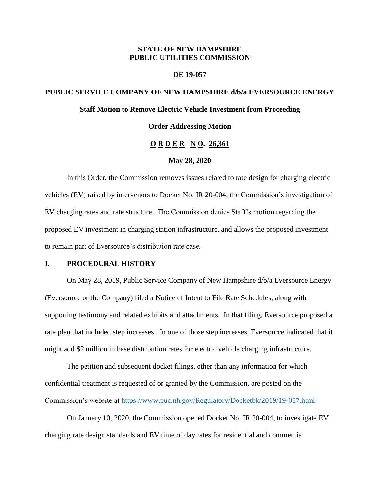## **STATE OF NEW HAMPSHIRE PUBLIC UTILITIES COMMISSION**

#### **DE 19-057**

# **PUBLIC SERVICE COMPANY OF NEW HAMPSHIRE d/b/a EVERSOURCE ENERGY Staff Motion to Remove Electric Vehicle Investment from Proceeding Order Addressing Motion**

# **O R D E R N O. 26,361**

#### **May 28, 2020**

In this Order, the Commission removes issues related to rate design for charging electric vehicles (EV) raised by intervenors to Docket No. IR 20-004, the Commission's investigation of EV charging rates and rate structure. The Commission denies Staff's motion regarding the proposed EV investment in charging station infrastructure, and allows the proposed investment to remain part of Eversource's distribution rate case.

### **I. PROCEDURAL HISTORY**

On May 28, 2019, Public Service Company of New Hampshire d/b/a Eversource Energy (Eversource or the Company) filed a Notice of Intent to File Rate Schedules, along with supporting testimony and related exhibits and attachments. In that filing, Eversource proposed a rate plan that included step increases. In one of those step increases, Eversource indicated that it might add \$2 million in base distribution rates for electric vehicle charging infrastructure.

The petition and subsequent docket filings, other than any information for which confidential treatment is requested of or granted by the Commission, are posted on the Commission's website at [https://www.puc.nh.gov/Regulatory/Docketbk/2019/19-057.html.](https://www.puc.nh.gov/Regulatory/Docketbk/2019/19-057.html)

On January 10, 2020, the Commission opened Docket No. IR 20-004, to investigate EV charging rate design standards and EV time of day rates for residential and commercial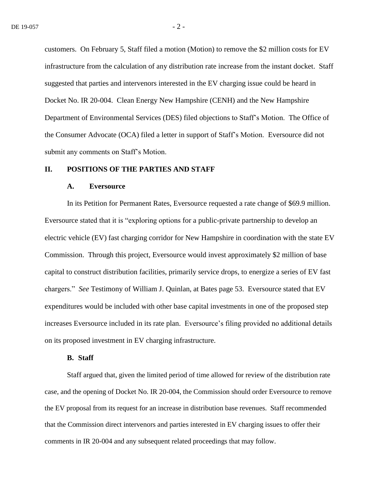customers. On February 5, Staff filed a motion (Motion) to remove the \$2 million costs for EV infrastructure from the calculation of any distribution rate increase from the instant docket. Staff suggested that parties and intervenors interested in the EV charging issue could be heard in Docket No. IR 20-004. Clean Energy New Hampshire (CENH) and the New Hampshire Department of Environmental Services (DES) filed objections to Staff's Motion. The Office of the Consumer Advocate (OCA) filed a letter in support of Staff's Motion. Eversource did not submit any comments on Staff's Motion.

#### **II. POSITIONS OF THE PARTIES AND STAFF**

#### **A. Eversource**

In its Petition for Permanent Rates, Eversource requested a rate change of \$69.9 million. Eversource stated that it is "exploring options for a public-private partnership to develop an electric vehicle (EV) fast charging corridor for New Hampshire in coordination with the state EV Commission. Through this project, Eversource would invest approximately \$2 million of base capital to construct distribution facilities, primarily service drops, to energize a series of EV fast chargers." *See* Testimony of William J. Quinlan, at Bates page 53. Eversource stated that EV expenditures would be included with other base capital investments in one of the proposed step increases Eversource included in its rate plan. Eversource's filing provided no additional details on its proposed investment in EV charging infrastructure.

#### **B. Staff**

Staff argued that, given the limited period of time allowed for review of the distribution rate case, and the opening of Docket No. IR 20-004, the Commission should order Eversource to remove the EV proposal from its request for an increase in distribution base revenues. Staff recommended that the Commission direct intervenors and parties interested in EV charging issues to offer their comments in IR 20-004 and any subsequent related proceedings that may follow.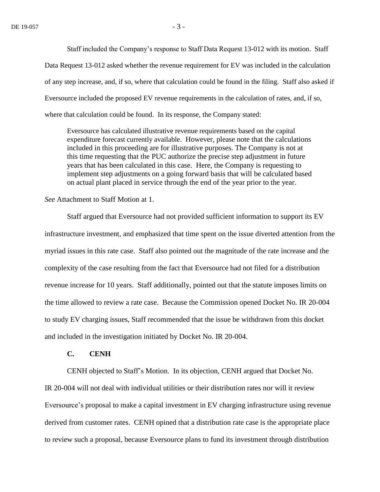Staff included the Company's response to Staff Data Request 13-012 with its motion. Staff Data Request 13-012 asked whether the revenue requirement for EV was included in the calculation of any step increase, and, if so, where that calculation could be found in the filing. Staff also asked if Eversource included the proposed EV revenue requirements in the calculation of rates, and, if so, where that calculation could be found. In its response, the Company stated:

Eversource has calculated illustrative revenue requirements based on the capital expenditure forecast currently available. However, please note that the calculations included in this proceeding are for illustrative purposes. The Company is not at this time requesting that the PUC authorize the precise step adjustment in future years that has been calculated in this case. Here, the Company is requesting to implement step adjustments on a going forward basis that will be calculated based on actual plant placed in service through the end of the year prior to the year.

*See* Attachment to Staff Motion at 1.

Staff argued that Eversource had not provided sufficient information to support its EV infrastructure investment, and emphasized that time spent on the issue diverted attention from the myriad issues in this rate case. Staff also pointed out the magnitude of the rate increase and the complexity of the case resulting from the fact that Eversource had not filed for a distribution revenue increase for 10 years. Staff additionally, pointed out that the statute imposes limits on the time allowed to review a rate case. Because the Commission opened Docket No. IR 20-004 to study EV charging issues, Staff recommended that the issue be withdrawn from this docket and included in the investigation initiated by Docket No. IR 20-004.

### **C. CENH**

CENH objected to Staff's Motion. In its objection, CENH argued that Docket No. IR 20-004 will not deal with individual utilities or their distribution rates nor will it review Eversource's proposal to make a capital investment in EV charging infrastructure using revenue derived from customer rates. CENH opined that a distribution rate case is the appropriate place to review such a proposal, because Eversource plans to fund its investment through distribution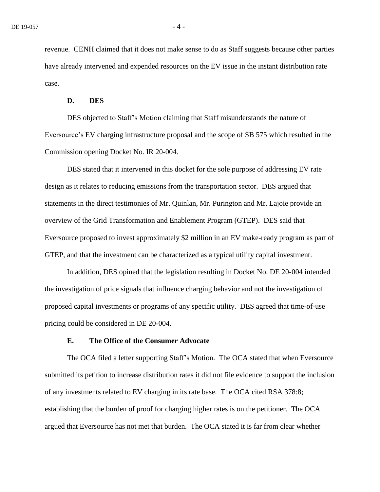revenue. CENH claimed that it does not make sense to do as Staff suggests because other parties have already intervened and expended resources on the EV issue in the instant distribution rate case.

#### **D. DES**

DES objected to Staff's Motion claiming that Staff misunderstands the nature of Eversource's EV charging infrastructure proposal and the scope of SB 575 which resulted in the Commission opening Docket No. IR 20-004.

DES stated that it intervened in this docket for the sole purpose of addressing EV rate design as it relates to reducing emissions from the transportation sector. DES argued that statements in the direct testimonies of Mr. Quinlan, Mr. Purington and Mr. Lajoie provide an overview of the Grid Transformation and Enablement Program (GTEP). DES said that Eversource proposed to invest approximately \$2 million in an EV make-ready program as part of GTEP, and that the investment can be characterized as a typical utility capital investment.

In addition, DES opined that the legislation resulting in Docket No. DE 20-004 intended the investigation of price signals that influence charging behavior and not the investigation of proposed capital investments or programs of any specific utility. DES agreed that time-of-use pricing could be considered in DE 20-004.

#### **E. The Office of the Consumer Advocate**

The OCA filed a letter supporting Staff's Motion. The OCA stated that when Eversource submitted its petition to increase distribution rates it did not file evidence to support the inclusion of any investments related to EV charging in its rate base. The OCA cited RSA 378:8; establishing that the burden of proof for charging higher rates is on the petitioner. The OCA argued that Eversource has not met that burden. The OCA stated it is far from clear whether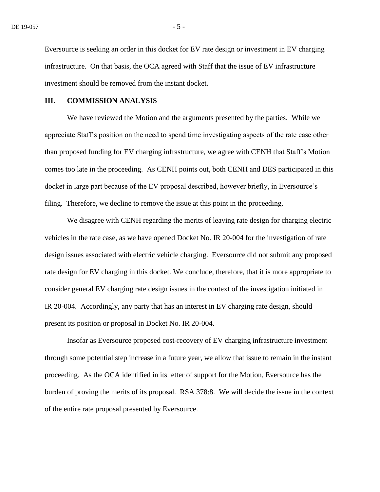Eversource is seeking an order in this docket for EV rate design or investment in EV charging infrastructure. On that basis, the OCA agreed with Staff that the issue of EV infrastructure investment should be removed from the instant docket.

### **III. COMMISSION ANALYSIS**

We have reviewed the Motion and the arguments presented by the parties. While we appreciate Staff's position on the need to spend time investigating aspects of the rate case other than proposed funding for EV charging infrastructure, we agree with CENH that Staff's Motion comes too late in the proceeding. As CENH points out, both CENH and DES participated in this docket in large part because of the EV proposal described, however briefly, in Eversource's filing. Therefore, we decline to remove the issue at this point in the proceeding.

We disagree with CENH regarding the merits of leaving rate design for charging electric vehicles in the rate case, as we have opened Docket No. IR 20-004 for the investigation of rate design issues associated with electric vehicle charging. Eversource did not submit any proposed rate design for EV charging in this docket. We conclude, therefore, that it is more appropriate to consider general EV charging rate design issues in the context of the investigation initiated in IR 20-004. Accordingly, any party that has an interest in EV charging rate design, should present its position or proposal in Docket No. IR 20-004.

Insofar as Eversource proposed cost-recovery of EV charging infrastructure investment through some potential step increase in a future year, we allow that issue to remain in the instant proceeding. As the OCA identified in its letter of support for the Motion, Eversource has the burden of proving the merits of its proposal. RSA 378:8. We will decide the issue in the context of the entire rate proposal presented by Eversource.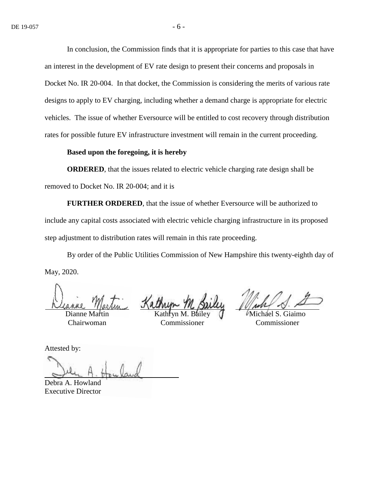In conclusion, the Commission finds that it is appropriate for parties to this case that have an interest in the development of EV rate design to present their concerns and proposals in Docket No. IR 20-004. In that docket, the Commission is considering the merits of various rate designs to apply to EV charging, including whether a demand charge is appropriate for electric vehicles. The issue of whether Eversource will be entitled to cost recovery through distribution rates for possible future EV infrastructure investment will remain in the current proceeding.

#### **Based upon the foregoing, it is hereby**

**ORDERED**, that the issues related to electric vehicle charging rate design shall be removed to Docket No. IR 20-004; and it is

**FURTHER ORDERED**, that the issue of whether Eversource will be authorized to include any capital costs associated with electric vehicle charging infrastructure in its proposed step adjustment to distribution rates will remain in this rate proceeding.

By order of the Public Utilities Commission of New Hampshire this twenty-eighth day of May, 2020.

 $D$ ianne  $M$ Chairwoman

Kathryn M. Bailey Commissioner

Michael S. Giaimo Commissioner

Attested by:

Debra A. Howland Executive Director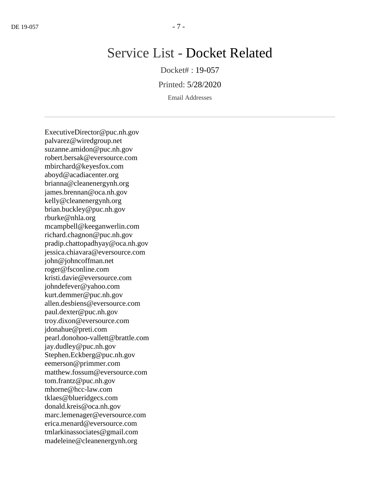# Service List - Docket Related

Docket# : 19-057

Printed: 5/28/2020

Email Addresses

ExecutiveDirector@puc.nh.gov palvarez@wiredgroup.net suzanne.amidon@puc.nh.gov robert.bersak@eversource.com mbirchard@keyesfox.com aboyd@acadiacenter.org brianna@cleanenergynh.org james.brennan@oca.nh.gov kelly@cleanenergynh.org brian.buckley@puc.nh.gov rburke@nhla.org mcampbell@keeganwerlin.com richard.chagnon@puc.nh.gov pradip.chattopadhyay@oca.nh.gov jessica.chiavara@eversource.com john@johncoffman.net roger@fsconline.com kristi.davie@eversource.com johndefever@yahoo.com kurt.demmer@puc.nh.gov allen.desbiens@eversource.com paul.dexter@puc.nh.gov troy.dixon@eversource.com jdonahue@preti.com pearl.donohoo-vallett@brattle.com jay.dudley@puc.nh.gov Stephen.Eckberg@puc.nh.gov eemerson@primmer.com matthew.fossum@eversource.com tom.frantz@puc.nh.gov mhorne@hcc-law.com tklaes@blueridgecs.com donald.kreis@oca.nh.gov marc.lemenager@eversource.com erica.menard@eversource.com tmlarkinassociates@gmail.com madeleine@cleanenergynh.org